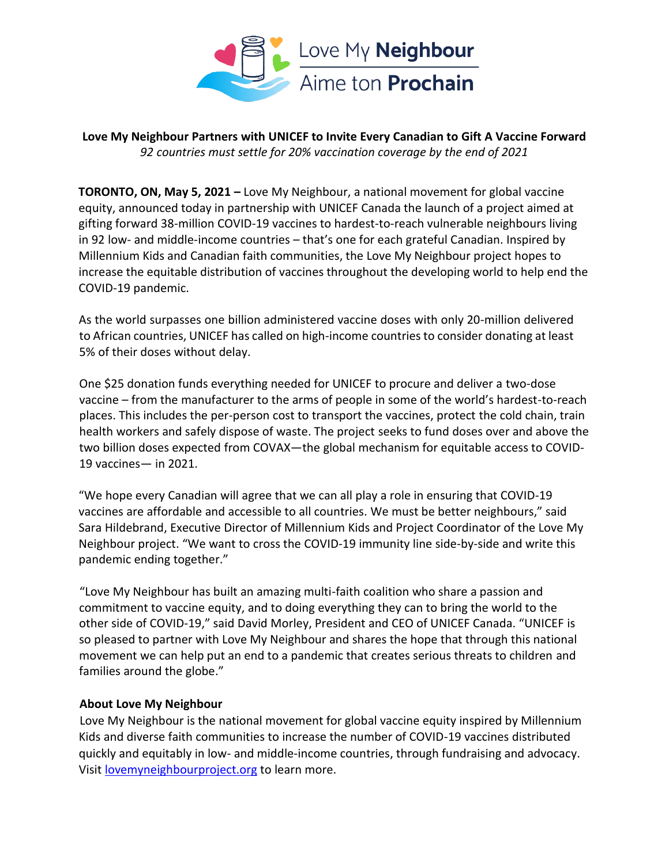

**Love My Neighbour Partners with UNICEF to Invite Every Canadian to Gift A Vaccine Forward** *92 countries must settle for 20% vaccination coverage by the end of 2021*

**TORONTO, ON, May 5, 2021 –** Love My Neighbour, a national movement for global vaccine equity, announced today in partnership with UNICEF Canada the launch of a project aimed at gifting forward 38-million COVID-19 vaccines to hardest-to-reach vulnerable neighbours living in 92 low- and middle-income countries – that's one for each grateful Canadian. Inspired by Millennium Kids and Canadian faith communities, the Love My Neighbour project hopes to increase the equitable distribution of vaccines throughout the developing world to help end the COVID-19 pandemic.

As the world surpasses one billion administered vaccine doses with only 20-million delivered to African countries, UNICEF has called on high-income countries to consider donating at least 5% of their doses without delay.

One \$25 donation funds everything needed for UNICEF to procure and deliver a two-dose vaccine – from the manufacturer to the arms of people in some of the world's hardest-to-reach places. This includes the per-person cost to transport the vaccines, protect the cold chain, train health workers and safely dispose of waste. The project seeks to fund doses over and above the two billion doses expected from COVAX—the global mechanism for equitable access to COVID-19 vaccines— in 2021.

"We hope every Canadian will agree that we can all play a role in ensuring that COVID-19 vaccines are affordable and accessible to all countries. We must be better neighbours," said Sara Hildebrand, Executive Director of Millennium Kids and Project Coordinator of the Love My Neighbour project. "We want to cross the COVID-19 immunity line side-by-side and write this pandemic ending together."

"Love My Neighbour has built an amazing multi-faith coalition who share a passion and commitment to vaccine equity, and to doing everything they can to bring the world to the other side of COVID-19," said David Morley, President and CEO of UNICEF Canada. "UNICEF is so pleased to partner with Love My Neighbour and shares the hope that through this national movement we can help put an end to a pandemic that creates serious threats to children and families around the globe."

## **About Love My Neighbour**

Love My Neighbour is the national movement for global vaccine equity inspired by Millennium Kids and diverse faith communities to increase the number of COVID-19 vaccines distributed quickly and equitably in low- and middle-income countries, through fundraising and advocacy. Visit [lovemyneighbourproject.org](http://lovemyneighbourproject.org/) to learn more.